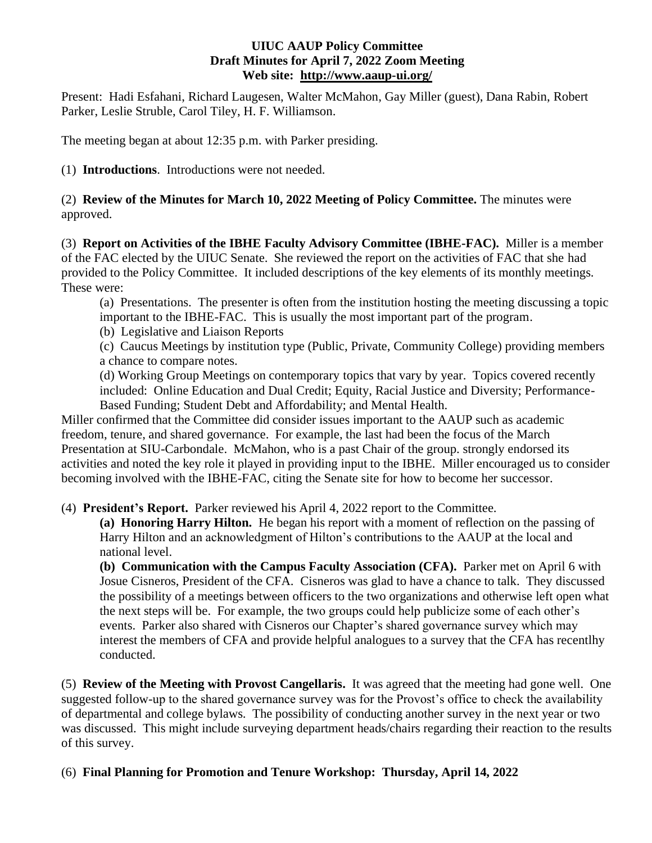## **UIUC AAUP Policy Committee Draft Minutes for April 7, 2022 Zoom Meeting Web site: <http://www.aaup-ui.org/>**

Present: Hadi Esfahani, Richard Laugesen, Walter McMahon, Gay Miller (guest), Dana Rabin, Robert Parker, Leslie Struble, Carol Tiley, H. F. Williamson.

The meeting began at about 12:35 p.m. with Parker presiding.

(1) **Introductions**. Introductions were not needed.

(2) **Review of the Minutes for March 10, 2022 Meeting of Policy Committee.** The minutes were approved.

(3) **Report on Activities of the IBHE Faculty Advisory Committee (IBHE-FAC).** Miller is a member of the FAC elected by the UIUC Senate. She reviewed the report on the activities of FAC that she had provided to the Policy Committee. It included descriptions of the key elements of its monthly meetings. These were:

(a) Presentations. The presenter is often from the institution hosting the meeting discussing a topic important to the IBHE-FAC. This is usually the most important part of the program.

(b) Legislative and Liaison Reports

(c) Caucus Meetings by institution type (Public, Private, Community College) providing members a chance to compare notes.

(d) Working Group Meetings on contemporary topics that vary by year. Topics covered recently included: Online Education and Dual Credit; Equity, Racial Justice and Diversity; Performance-Based Funding; Student Debt and Affordability; and Mental Health.

Miller confirmed that the Committee did consider issues important to the AAUP such as academic freedom, tenure, and shared governance. For example, the last had been the focus of the March Presentation at SIU-Carbondale. McMahon, who is a past Chair of the group. strongly endorsed its activities and noted the key role it played in providing input to the IBHE. Miller encouraged us to consider becoming involved with the IBHE-FAC, citing the Senate site for how to become her successor.

(4) **President's Report.** Parker reviewed his April 4, 2022 report to the Committee.

**(a) Honoring Harry Hilton.** He began his report with a moment of reflection on the passing of Harry Hilton and an acknowledgment of Hilton's contributions to the AAUP at the local and national level.

**(b) Communication with the Campus Faculty Association (CFA).** Parker met on April 6 with Josue Cisneros, President of the CFA.Cisneros was glad to have a chance to talk. They discussed the possibility of a meetings between officers to the two organizations and otherwise left open what the next steps will be. For example, the two groups could help publicize some of each other's events. Parker also shared with Cisneros our Chapter's shared governance survey which may interest the members of CFA and provide helpful analogues to a survey that the CFA has recentlhy conducted.

(5) **Review of the Meeting with Provost Cangellaris.** It was agreed that the meeting had gone well. One suggested follow-up to the shared governance survey was for the Provost's office to check the availability of departmental and college bylaws. The possibility of conducting another survey in the next year or two was discussed. This might include surveying department heads/chairs regarding their reaction to the results of this survey.

## (6) **Final Planning for Promotion and Tenure Workshop: Thursday, April 14, 2022**